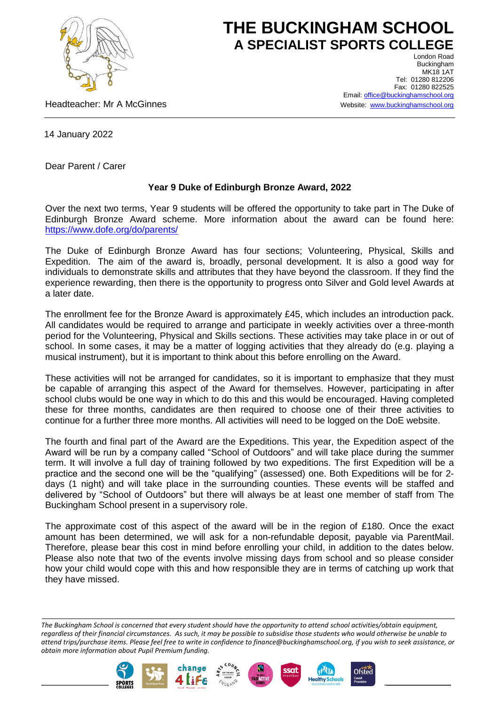

## **THE BUCKINGHAM SCHOOL A SPECIALIST SPORTS COLLEGE** London Road

Headteacher: Mr A McGinnes

Buckingham **MK18 1AT** Tel: 01280 812206 Fax: 01280 822525 Email[: office@buckinghamschool.org](mailto:office@buckinghamschool.org) Website: [www.buckinghamschool.org](http://www.buckinghamschool.org/)

14 January 2022

Dear Parent / Carer

## **Year 9 Duke of Edinburgh Bronze Award, 2022**

Over the next two terms, Year 9 students will be offered the opportunity to take part in The Duke of Edinburgh Bronze Award scheme. More information about the award can be found here: <https://www.dofe.org/do/parents/>

The Duke of Edinburgh Bronze Award has four sections; Volunteering, Physical, Skills and Expedition. The aim of the award is, broadly, personal development. It is also a good way for individuals to demonstrate skills and attributes that they have beyond the classroom. If they find the experience rewarding, then there is the opportunity to progress onto Silver and Gold level Awards at a later date.

The enrollment fee for the Bronze Award is approximately £45, which includes an introduction pack. All candidates would be required to arrange and participate in weekly activities over a three-month period for the Volunteering, Physical and Skills sections. These activities may take place in or out of school. In some cases, it may be a matter of logging activities that they already do (e.g. playing a musical instrument), but it is important to think about this before enrolling on the Award.

These activities will not be arranged for candidates, so it is important to emphasize that they must be capable of arranging this aspect of the Award for themselves. However, participating in after school clubs would be one way in which to do this and this would be encouraged. Having completed these for three months, candidates are then required to choose one of their three activities to continue for a further three more months. All activities will need to be logged on the DoE website.

The fourth and final part of the Award are the Expeditions. This year, the Expedition aspect of the Award will be run by a company called "School of Outdoors" and will take place during the summer term. It will involve a full day of training followed by two expeditions. The first Expedition will be a practice and the second one will be the "qualifying" (assessed) one. Both Expeditions will be for 2 days (1 night) and will take place in the surrounding counties. These events will be staffed and delivered by "School of Outdoors" but there will always be at least one member of staff from The Buckingham School present in a supervisory role.

The approximate cost of this aspect of the award will be in the region of £180. Once the exact amount has been determined, we will ask for a non-refundable deposit, payable via ParentMail. Therefore, please bear this cost in mind before enrolling your child, in addition to the dates below. Please also note that two of the events involve missing days from school and so please consider how your child would cope with this and how responsible they are in terms of catching up work that they have missed.

*The Buckingham School is concerned that every student should have the opportunity to attend school activities/obtain equipment, regardless of their financial circumstances. As such, it may be possible to subsidise those students who would otherwise be unable to attend trips/purchase items. Please feel free to write in confidence to finance@buckinghamschool.org, if you wish to seek assistance, or obtain more information about Pupil Premium funding.*







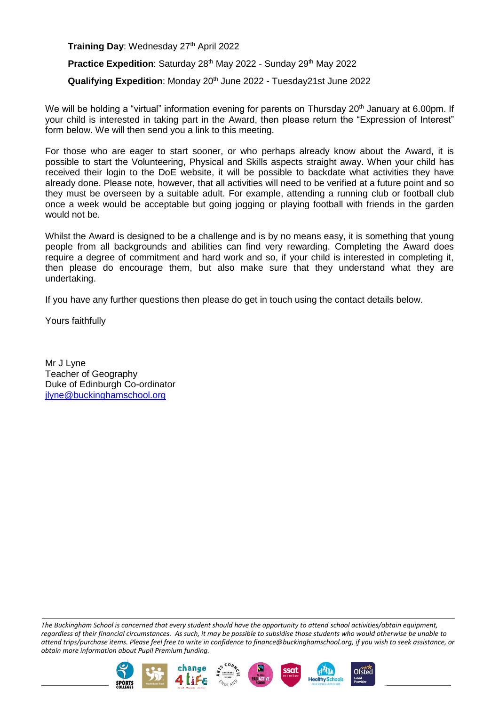**Training Day: Wednesday 27th April 2022** 

Practice Expedition: Saturday 28<sup>th</sup> May 2022 - Sunday 29<sup>th</sup> May 2022

**Qualifying Expedition: Monday 20<sup>th</sup> June 2022 - Tuesday21st June 2022** 

We will be holding a "virtual" information evening for parents on Thursday 20<sup>th</sup> January at 6.00pm. If your child is interested in taking part in the Award, then please return the "Expression of Interest" form below. We will then send you a link to this meeting.

For those who are eager to start sooner, or who perhaps already know about the Award, it is possible to start the Volunteering, Physical and Skills aspects straight away. When your child has received their login to the DoE website, it will be possible to backdate what activities they have already done. Please note, however, that all activities will need to be verified at a future point and so they must be overseen by a suitable adult. For example, attending a running club or football club once a week would be acceptable but going jogging or playing football with friends in the garden would not be.

Whilst the Award is designed to be a challenge and is by no means easy, it is something that young people from all backgrounds and abilities can find very rewarding. Completing the Award does require a degree of commitment and hard work and so, if your child is interested in completing it, then please do encourage them, but also make sure that they understand what they are undertaking.

If you have any further questions then please do get in touch using the contact details below.

Yours faithfully

Mr J Lyne Teacher of Geography Duke of Edinburgh Co-ordinator [jlyne@buckinghamschool.org](mailto:jlyne@buckinghamschool.org)

*The Buckingham School is concerned that every student should have the opportunity to attend school activities/obtain equipment, regardless of their financial circumstances. As such, it may be possible to subsidise those students who would otherwise be unable to attend trips/purchase items. Please feel free to write in confidence to finance@buckinghamschool.org, if you wish to seek assistance, or obtain more information about Pupil Premium funding.*